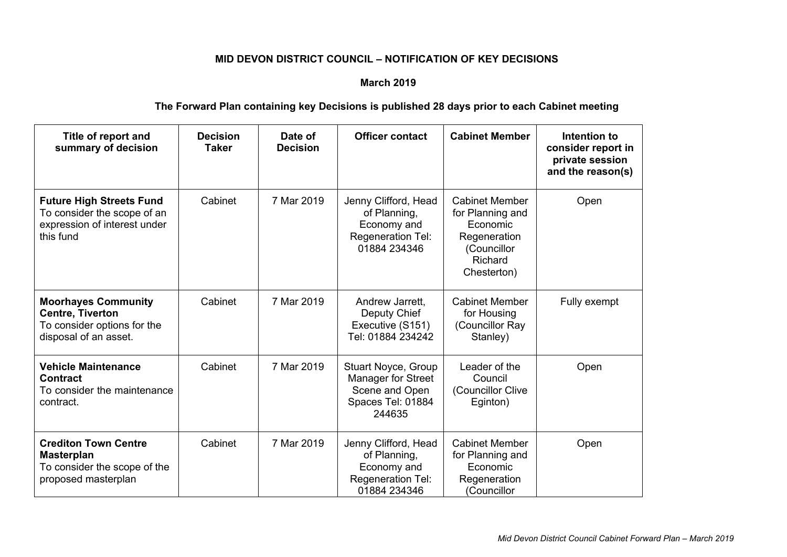## **MID DEVON DISTRICT COUNCIL – NOTIFICATION OF KEY DECISIONS**

## **March 2019**

## **The Forward Plan containing key Decisions is published 28 days prior to each Cabinet meeting**

| Title of report and<br>summary of decision                                                                    | <b>Decision</b><br><b>Taker</b> | Date of<br><b>Decision</b> | <b>Officer contact</b>                                                                     | <b>Cabinet Member</b>                                                                                          | Intention to<br>consider report in<br>private session<br>and the reason(s) |
|---------------------------------------------------------------------------------------------------------------|---------------------------------|----------------------------|--------------------------------------------------------------------------------------------|----------------------------------------------------------------------------------------------------------------|----------------------------------------------------------------------------|
| <b>Future High Streets Fund</b><br>To consider the scope of an<br>expression of interest under<br>this fund   | Cabinet                         | 7 Mar 2019                 | Jenny Clifford, Head<br>of Planning,<br>Economy and<br>Regeneration Tel:<br>01884 234346   | <b>Cabinet Member</b><br>for Planning and<br>Economic<br>Regeneration<br>(Councillor<br>Richard<br>Chesterton) | Open                                                                       |
| <b>Moorhayes Community</b><br><b>Centre, Tiverton</b><br>To consider options for the<br>disposal of an asset. | Cabinet                         | 7 Mar 2019                 | Andrew Jarrett,<br>Deputy Chief<br>Executive (S151)<br>Tel: 01884 234242                   | <b>Cabinet Member</b><br>for Housing<br>(Councillor Ray<br>Stanley)                                            | Fully exempt                                                               |
| <b>Vehicle Maintenance</b><br><b>Contract</b><br>To consider the maintenance<br>contract.                     | Cabinet                         | 7 Mar 2019                 | Stuart Noyce, Group<br>Manager for Street<br>Scene and Open<br>Spaces Tel: 01884<br>244635 | Leader of the<br>Council<br>(Councillor Clive<br>Eginton)                                                      | Open                                                                       |
| <b>Crediton Town Centre</b><br><b>Masterplan</b><br>To consider the scope of the<br>proposed masterplan       | Cabinet                         | 7 Mar 2019                 | Jenny Clifford, Head<br>of Planning,<br>Economy and<br>Regeneration Tel:<br>01884 234346   | <b>Cabinet Member</b><br>for Planning and<br>Economic<br>Regeneration<br>(Councillor                           | Open                                                                       |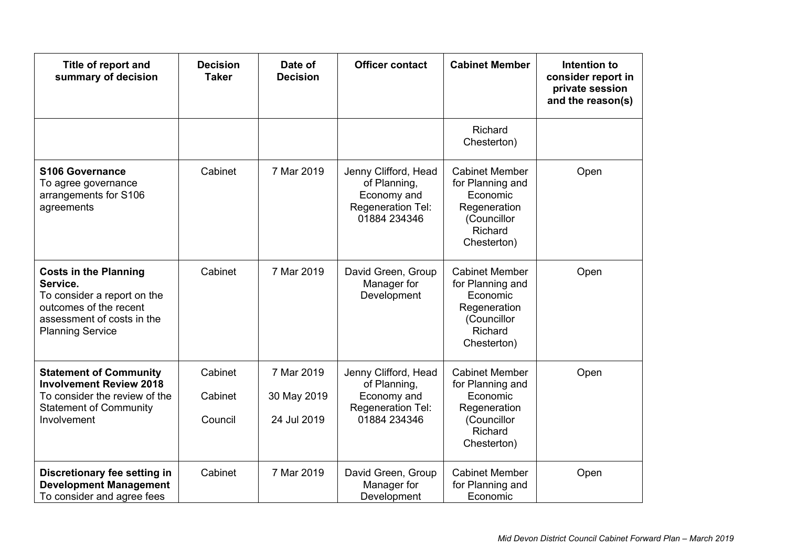| Title of report and<br>summary of decision                                                                                                                 | <b>Decision</b><br><b>Taker</b> | Date of<br><b>Decision</b>               | <b>Officer contact</b>                                                                   | <b>Cabinet Member</b>                                                                                          | Intention to<br>consider report in<br>private session<br>and the reason(s) |
|------------------------------------------------------------------------------------------------------------------------------------------------------------|---------------------------------|------------------------------------------|------------------------------------------------------------------------------------------|----------------------------------------------------------------------------------------------------------------|----------------------------------------------------------------------------|
|                                                                                                                                                            |                                 |                                          |                                                                                          | Richard<br>Chesterton)                                                                                         |                                                                            |
| <b>S106 Governance</b><br>To agree governance<br>arrangements for S106<br>agreements                                                                       | Cabinet                         | 7 Mar 2019                               | Jenny Clifford, Head<br>of Planning,<br>Economy and<br>Regeneration Tel:<br>01884 234346 | <b>Cabinet Member</b><br>for Planning and<br>Economic<br>Regeneration<br>(Councillor<br>Richard<br>Chesterton) | Open                                                                       |
| <b>Costs in the Planning</b><br>Service.<br>To consider a report on the<br>outcomes of the recent<br>assessment of costs in the<br><b>Planning Service</b> | Cabinet                         | 7 Mar 2019                               | David Green, Group<br>Manager for<br>Development                                         | <b>Cabinet Member</b><br>for Planning and<br>Economic<br>Regeneration<br>(Councillor<br>Richard<br>Chesterton) | Open                                                                       |
| <b>Statement of Community</b><br><b>Involvement Review 2018</b><br>To consider the review of the<br><b>Statement of Community</b><br>Involvement           | Cabinet<br>Cabinet<br>Council   | 7 Mar 2019<br>30 May 2019<br>24 Jul 2019 | Jenny Clifford, Head<br>of Planning,<br>Economy and<br>Regeneration Tel:<br>01884 234346 | <b>Cabinet Member</b><br>for Planning and<br>Economic<br>Regeneration<br>(Councillor<br>Richard<br>Chesterton) | Open                                                                       |
| Discretionary fee setting in<br><b>Development Management</b><br>To consider and agree fees                                                                | Cabinet                         | 7 Mar 2019                               | David Green, Group<br>Manager for<br>Development                                         | <b>Cabinet Member</b><br>for Planning and<br>Economic                                                          | Open                                                                       |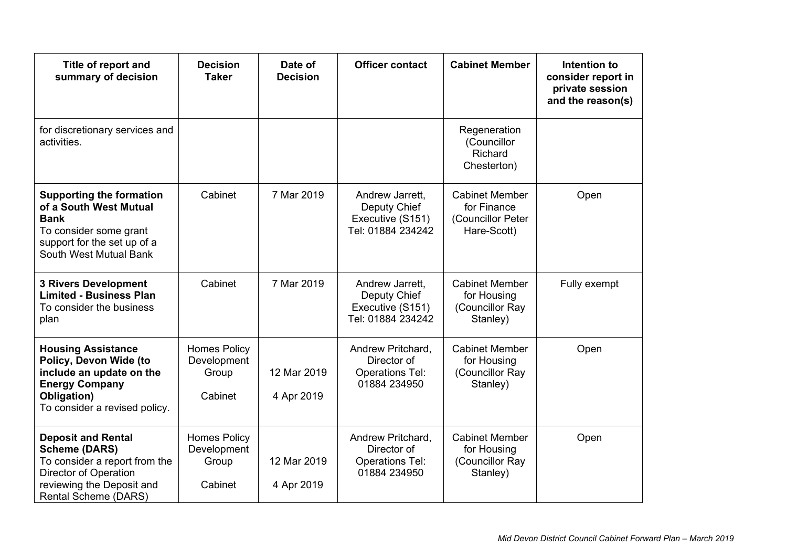| Title of report and<br>summary of decision                                                                                                                       | <b>Decision</b><br><b>Taker</b>                        | Date of<br><b>Decision</b> | <b>Officer contact</b>                                                     | <b>Cabinet Member</b>                                                    | Intention to<br>consider report in<br>private session<br>and the reason(s) |
|------------------------------------------------------------------------------------------------------------------------------------------------------------------|--------------------------------------------------------|----------------------------|----------------------------------------------------------------------------|--------------------------------------------------------------------------|----------------------------------------------------------------------------|
| for discretionary services and<br>activities.                                                                                                                    |                                                        |                            |                                                                            | Regeneration<br>(Councillor<br>Richard<br>Chesterton)                    |                                                                            |
| <b>Supporting the formation</b><br>of a South West Mutual<br><b>Bank</b><br>To consider some grant<br>support for the set up of a<br>South West Mutual Bank      | Cabinet                                                | 7 Mar 2019                 | Andrew Jarrett,<br>Deputy Chief<br>Executive (S151)<br>Tel: 01884 234242   | <b>Cabinet Member</b><br>for Finance<br>(Councillor Peter<br>Hare-Scott) | Open                                                                       |
| <b>3 Rivers Development</b><br><b>Limited - Business Plan</b><br>To consider the business<br>plan                                                                | Cabinet                                                | 7 Mar 2019                 | Andrew Jarrett,<br>Deputy Chief<br>Executive (S151)<br>Tel: 01884 234242   | <b>Cabinet Member</b><br>for Housing<br>(Councillor Ray<br>Stanley)      | Fully exempt                                                               |
| <b>Housing Assistance</b><br>Policy, Devon Wide (to<br>include an update on the<br><b>Energy Company</b><br>Obligation)<br>To consider a revised policy.         | <b>Homes Policy</b><br>Development<br>Group<br>Cabinet | 12 Mar 2019<br>4 Apr 2019  | Andrew Pritchard,<br>Director of<br><b>Operations Tel:</b><br>01884 234950 | <b>Cabinet Member</b><br>for Housing<br>(Councillor Ray<br>Stanley)      | Open                                                                       |
| <b>Deposit and Rental</b><br><b>Scheme (DARS)</b><br>To consider a report from the<br>Director of Operation<br>reviewing the Deposit and<br>Rental Scheme (DARS) | <b>Homes Policy</b><br>Development<br>Group<br>Cabinet | 12 Mar 2019<br>4 Apr 2019  | Andrew Pritchard,<br>Director of<br><b>Operations Tel:</b><br>01884 234950 | <b>Cabinet Member</b><br>for Housing<br>(Councillor Ray<br>Stanley)      | Open                                                                       |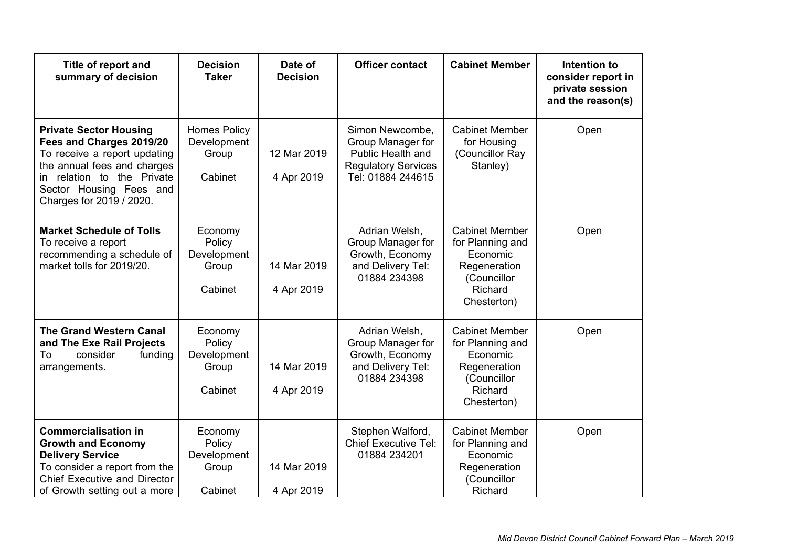| Title of report and<br>summary of decision                                                                                                                                                                       | <b>Decision</b><br><b>Taker</b>                        | Date of<br><b>Decision</b> | <b>Officer contact</b>                                                                                       | <b>Cabinet Member</b>                                                                                          | Intention to<br>consider report in<br>private session<br>and the reason(s) |
|------------------------------------------------------------------------------------------------------------------------------------------------------------------------------------------------------------------|--------------------------------------------------------|----------------------------|--------------------------------------------------------------------------------------------------------------|----------------------------------------------------------------------------------------------------------------|----------------------------------------------------------------------------|
| <b>Private Sector Housing</b><br>Fees and Charges 2019/20<br>To receive a report updating<br>the annual fees and charges<br>relation to the Private<br>in<br>Sector Housing Fees and<br>Charges for 2019 / 2020. | <b>Homes Policy</b><br>Development<br>Group<br>Cabinet | 12 Mar 2019<br>4 Apr 2019  | Simon Newcombe,<br>Group Manager for<br>Public Health and<br><b>Regulatory Services</b><br>Tel: 01884 244615 | <b>Cabinet Member</b><br>for Housing<br>(Councillor Ray<br>Stanley)                                            | Open                                                                       |
| <b>Market Schedule of Tolls</b><br>To receive a report<br>recommending a schedule of<br>market tolls for 2019/20.                                                                                                | Economy<br>Policy<br>Development<br>Group<br>Cabinet   | 14 Mar 2019<br>4 Apr 2019  | Adrian Welsh,<br>Group Manager for<br>Growth, Economy<br>and Delivery Tel:<br>01884 234398                   | <b>Cabinet Member</b><br>for Planning and<br>Economic<br>Regeneration<br>(Councillor<br>Richard<br>Chesterton) | Open                                                                       |
| <b>The Grand Western Canal</b><br>and The Exe Rail Projects<br>To<br>consider<br>funding<br>arrangements.                                                                                                        | Economy<br>Policy<br>Development<br>Group<br>Cabinet   | 14 Mar 2019<br>4 Apr 2019  | Adrian Welsh,<br>Group Manager for<br>Growth, Economy<br>and Delivery Tel:<br>01884 234398                   | <b>Cabinet Member</b><br>for Planning and<br>Economic<br>Regeneration<br>(Councillor<br>Richard<br>Chesterton) | Open                                                                       |
| <b>Commercialisation in</b><br><b>Growth and Economy</b><br><b>Delivery Service</b><br>To consider a report from the<br><b>Chief Executive and Director</b><br>of Growth setting out a more                      | Economy<br>Policy<br>Development<br>Group<br>Cabinet   | 14 Mar 2019<br>4 Apr 2019  | Stephen Walford,<br><b>Chief Executive Tel:</b><br>01884 234201                                              | <b>Cabinet Member</b><br>for Planning and<br>Economic<br>Regeneration<br>(Councillor<br>Richard                | Open                                                                       |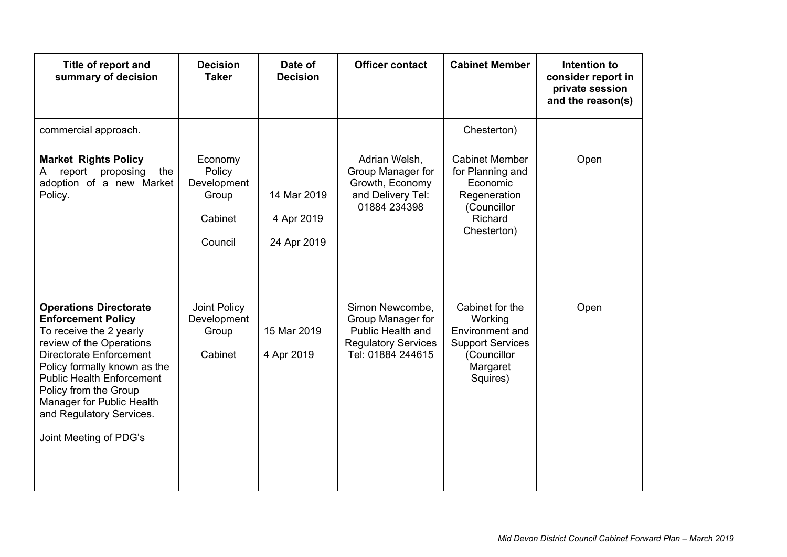| Title of report and<br>summary of decision                                                                                                                                                                                                                                                                                   | <b>Decision</b><br><b>Taker</b>                                 | Date of<br><b>Decision</b>               | <b>Officer contact</b>                                                                                       | <b>Cabinet Member</b>                                                                                           | Intention to<br>consider report in<br>private session<br>and the reason(s) |
|------------------------------------------------------------------------------------------------------------------------------------------------------------------------------------------------------------------------------------------------------------------------------------------------------------------------------|-----------------------------------------------------------------|------------------------------------------|--------------------------------------------------------------------------------------------------------------|-----------------------------------------------------------------------------------------------------------------|----------------------------------------------------------------------------|
| commercial approach.                                                                                                                                                                                                                                                                                                         |                                                                 |                                          |                                                                                                              | Chesterton)                                                                                                     |                                                                            |
| <b>Market Rights Policy</b><br>report<br>proposing<br>the<br>A<br>adoption of a new Market<br>Policy.                                                                                                                                                                                                                        | Economy<br>Policy<br>Development<br>Group<br>Cabinet<br>Council | 14 Mar 2019<br>4 Apr 2019<br>24 Apr 2019 | Adrian Welsh,<br>Group Manager for<br>Growth, Economy<br>and Delivery Tel:<br>01884 234398                   | <b>Cabinet Member</b><br>for Planning and<br>Economic<br>Regeneration<br>(Councillor<br>Richard<br>Chesterton)  | Open                                                                       |
| <b>Operations Directorate</b><br><b>Enforcement Policy</b><br>To receive the 2 yearly<br>review of the Operations<br>Directorate Enforcement<br>Policy formally known as the<br><b>Public Health Enforcement</b><br>Policy from the Group<br>Manager for Public Health<br>and Regulatory Services.<br>Joint Meeting of PDG's | Joint Policy<br>Development<br>Group<br>Cabinet                 | 15 Mar 2019<br>4 Apr 2019                | Simon Newcombe,<br>Group Manager for<br>Public Health and<br><b>Regulatory Services</b><br>Tel: 01884 244615 | Cabinet for the<br>Working<br>Environment and<br><b>Support Services</b><br>(Councillor<br>Margaret<br>Squires) | Open                                                                       |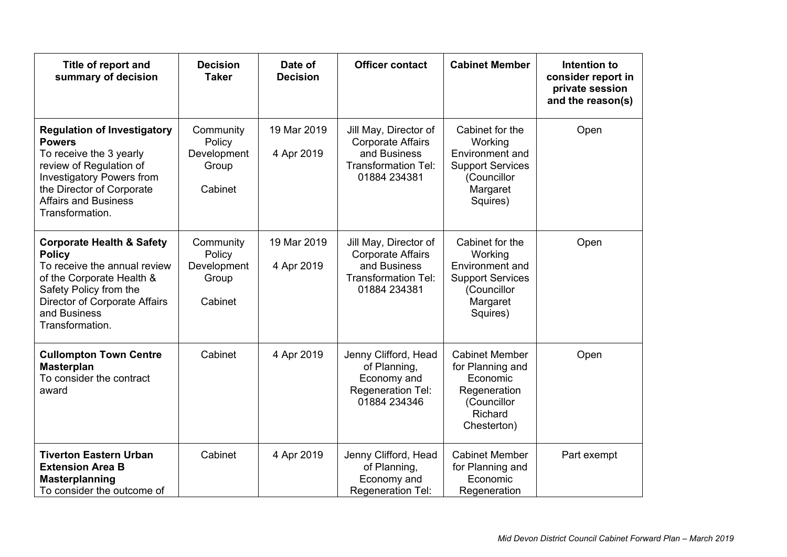| Title of report and<br>summary of decision                                                                                                                                                                                   | <b>Decision</b><br><b>Taker</b>                        | Date of<br><b>Decision</b> | <b>Officer contact</b>                                                                                          | <b>Cabinet Member</b>                                                                                           | Intention to<br>consider report in<br>private session<br>and the reason(s) |
|------------------------------------------------------------------------------------------------------------------------------------------------------------------------------------------------------------------------------|--------------------------------------------------------|----------------------------|-----------------------------------------------------------------------------------------------------------------|-----------------------------------------------------------------------------------------------------------------|----------------------------------------------------------------------------|
| <b>Regulation of Investigatory</b><br><b>Powers</b><br>To receive the 3 yearly<br>review of Regulation of<br><b>Investigatory Powers from</b><br>the Director of Corporate<br><b>Affairs and Business</b><br>Transformation. | Community<br>Policy<br>Development<br>Group<br>Cabinet | 19 Mar 2019<br>4 Apr 2019  | Jill May, Director of<br><b>Corporate Affairs</b><br>and Business<br><b>Transformation Tel:</b><br>01884 234381 | Cabinet for the<br>Working<br>Environment and<br><b>Support Services</b><br>(Councillor<br>Margaret<br>Squires) | Open                                                                       |
| <b>Corporate Health &amp; Safety</b><br><b>Policy</b><br>To receive the annual review<br>of the Corporate Health &<br>Safety Policy from the<br>Director of Corporate Affairs<br>and Business<br>Transformation.             | Community<br>Policy<br>Development<br>Group<br>Cabinet | 19 Mar 2019<br>4 Apr 2019  | Jill May, Director of<br><b>Corporate Affairs</b><br>and Business<br><b>Transformation Tel:</b><br>01884 234381 | Cabinet for the<br>Working<br>Environment and<br><b>Support Services</b><br>(Councillor<br>Margaret<br>Squires) | Open                                                                       |
| <b>Cullompton Town Centre</b><br><b>Masterplan</b><br>To consider the contract<br>award                                                                                                                                      | Cabinet                                                | 4 Apr 2019                 | Jenny Clifford, Head<br>of Planning,<br>Economy and<br>Regeneration Tel:<br>01884 234346                        | <b>Cabinet Member</b><br>for Planning and<br>Economic<br>Regeneration<br>(Councillor<br>Richard<br>Chesterton)  | Open                                                                       |
| <b>Tiverton Eastern Urban</b><br><b>Extension Area B</b><br><b>Masterplanning</b><br>To consider the outcome of                                                                                                              | Cabinet                                                | 4 Apr 2019                 | Jenny Clifford, Head<br>of Planning,<br>Economy and<br>Regeneration Tel:                                        | <b>Cabinet Member</b><br>for Planning and<br>Economic<br>Regeneration                                           | Part exempt                                                                |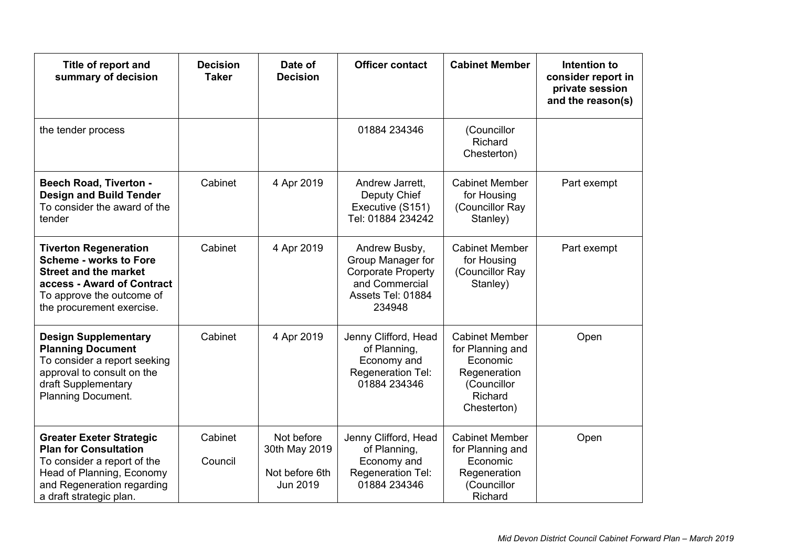| Title of report and<br>summary of decision                                                                                                                                            | <b>Decision</b><br><b>Taker</b> | Date of<br><b>Decision</b>                                | <b>Officer contact</b>                                                                                           | <b>Cabinet Member</b>                                                                                          | Intention to<br>consider report in<br>private session<br>and the reason(s) |
|---------------------------------------------------------------------------------------------------------------------------------------------------------------------------------------|---------------------------------|-----------------------------------------------------------|------------------------------------------------------------------------------------------------------------------|----------------------------------------------------------------------------------------------------------------|----------------------------------------------------------------------------|
| the tender process                                                                                                                                                                    |                                 |                                                           | 01884 234346                                                                                                     | (Councillor<br>Richard<br>Chesterton)                                                                          |                                                                            |
| <b>Beech Road, Tiverton -</b><br><b>Design and Build Tender</b><br>To consider the award of the<br>tender                                                                             | Cabinet                         | 4 Apr 2019                                                | Andrew Jarrett,<br>Deputy Chief<br>Executive (S151)<br>Tel: 01884 234242                                         | <b>Cabinet Member</b><br>for Housing<br>(Councillor Ray<br>Stanley)                                            | Part exempt                                                                |
| <b>Tiverton Regeneration</b><br><b>Scheme - works to Fore</b><br><b>Street and the market</b><br>access - Award of Contract<br>To approve the outcome of<br>the procurement exercise. | Cabinet                         | 4 Apr 2019                                                | Andrew Busby,<br>Group Manager for<br><b>Corporate Property</b><br>and Commercial<br>Assets Tel: 01884<br>234948 | <b>Cabinet Member</b><br>for Housing<br>(Councillor Ray<br>Stanley)                                            | Part exempt                                                                |
| <b>Design Supplementary</b><br><b>Planning Document</b><br>To consider a report seeking<br>approval to consult on the<br>draft Supplementary<br><b>Planning Document.</b>             | Cabinet                         | 4 Apr 2019                                                | Jenny Clifford, Head<br>of Planning,<br>Economy and<br><b>Regeneration Tel:</b><br>01884 234346                  | <b>Cabinet Member</b><br>for Planning and<br>Economic<br>Regeneration<br>(Councillor<br>Richard<br>Chesterton) | Open                                                                       |
| <b>Greater Exeter Strategic</b><br><b>Plan for Consultation</b><br>To consider a report of the<br>Head of Planning, Economy<br>and Regeneration regarding<br>a draft strategic plan.  | Cabinet<br>Council              | Not before<br>30th May 2019<br>Not before 6th<br>Jun 2019 | Jenny Clifford, Head<br>of Planning,<br>Economy and<br>Regeneration Tel:<br>01884 234346                         | <b>Cabinet Member</b><br>for Planning and<br>Economic<br>Regeneration<br>(Councillor<br>Richard                | Open                                                                       |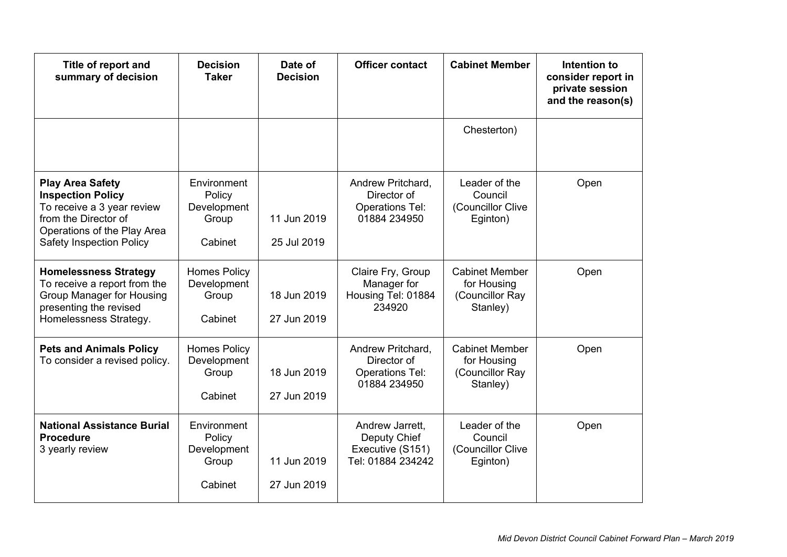| Title of report and<br>summary of decision                                                                                                                                  | <b>Decision</b><br><b>Taker</b>                          | Date of<br><b>Decision</b> | <b>Officer contact</b>                                                     | <b>Cabinet Member</b>                                               | Intention to<br>consider report in<br>private session<br>and the reason(s) |
|-----------------------------------------------------------------------------------------------------------------------------------------------------------------------------|----------------------------------------------------------|----------------------------|----------------------------------------------------------------------------|---------------------------------------------------------------------|----------------------------------------------------------------------------|
|                                                                                                                                                                             |                                                          |                            |                                                                            | Chesterton)                                                         |                                                                            |
| <b>Play Area Safety</b><br><b>Inspection Policy</b><br>To receive a 3 year review<br>from the Director of<br>Operations of the Play Area<br><b>Safety Inspection Policy</b> | Environment<br>Policy<br>Development<br>Group<br>Cabinet | 11 Jun 2019<br>25 Jul 2019 | Andrew Pritchard,<br>Director of<br><b>Operations Tel:</b><br>01884 234950 | Leader of the<br>Council<br>(Councillor Clive<br>Eginton)           | Open                                                                       |
| <b>Homelessness Strategy</b><br>To receive a report from the<br>Group Manager for Housing<br>presenting the revised<br>Homelessness Strategy.                               | <b>Homes Policy</b><br>Development<br>Group<br>Cabinet   | 18 Jun 2019<br>27 Jun 2019 | Claire Fry, Group<br>Manager for<br>Housing Tel: 01884<br>234920           | <b>Cabinet Member</b><br>for Housing<br>(Councillor Ray<br>Stanley) | Open                                                                       |
| <b>Pets and Animals Policy</b><br>To consider a revised policy.                                                                                                             | <b>Homes Policy</b><br>Development<br>Group<br>Cabinet   | 18 Jun 2019<br>27 Jun 2019 | Andrew Pritchard,<br>Director of<br><b>Operations Tel:</b><br>01884 234950 | <b>Cabinet Member</b><br>for Housing<br>(Councillor Ray<br>Stanley) | Open                                                                       |
| <b>National Assistance Burial</b><br><b>Procedure</b><br>3 yearly review                                                                                                    | Environment<br>Policy<br>Development<br>Group<br>Cabinet | 11 Jun 2019<br>27 Jun 2019 | Andrew Jarrett,<br>Deputy Chief<br>Executive (S151)<br>Tel: 01884 234242   | Leader of the<br>Council<br>(Councillor Clive<br>Eginton)           | Open                                                                       |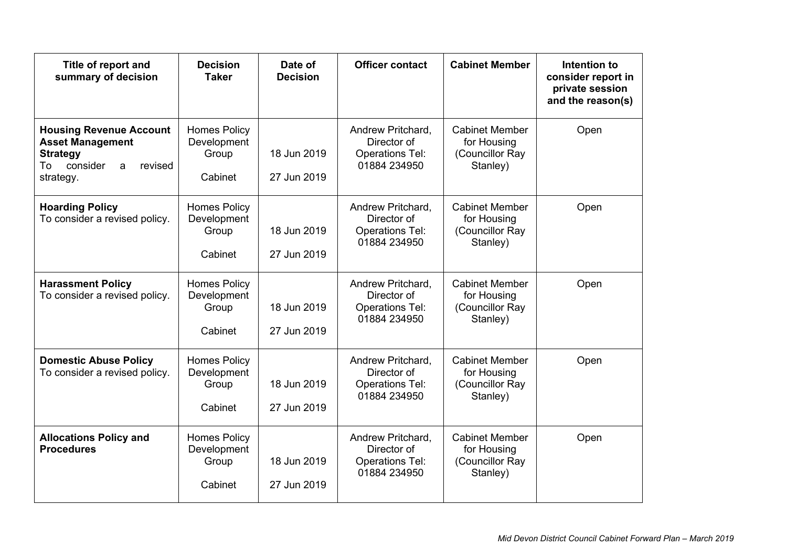| Title of report and<br>summary of decision                                                                                  | <b>Decision</b><br><b>Taker</b>                        | Date of<br><b>Decision</b> | <b>Officer contact</b>                                                     | <b>Cabinet Member</b>                                               | Intention to<br>consider report in<br>private session<br>and the reason(s) |
|-----------------------------------------------------------------------------------------------------------------------------|--------------------------------------------------------|----------------------------|----------------------------------------------------------------------------|---------------------------------------------------------------------|----------------------------------------------------------------------------|
| <b>Housing Revenue Account</b><br><b>Asset Management</b><br><b>Strategy</b><br>consider<br>To<br>revised<br>a<br>strategy. | <b>Homes Policy</b><br>Development<br>Group<br>Cabinet | 18 Jun 2019<br>27 Jun 2019 | Andrew Pritchard,<br>Director of<br><b>Operations Tel:</b><br>01884 234950 | <b>Cabinet Member</b><br>for Housing<br>(Councillor Ray<br>Stanley) | Open                                                                       |
| <b>Hoarding Policy</b><br>To consider a revised policy.                                                                     | <b>Homes Policy</b><br>Development<br>Group<br>Cabinet | 18 Jun 2019<br>27 Jun 2019 | Andrew Pritchard,<br>Director of<br><b>Operations Tel:</b><br>01884 234950 | <b>Cabinet Member</b><br>for Housing<br>(Councillor Ray<br>Stanley) | Open                                                                       |
| <b>Harassment Policy</b><br>To consider a revised policy.                                                                   | <b>Homes Policy</b><br>Development<br>Group<br>Cabinet | 18 Jun 2019<br>27 Jun 2019 | Andrew Pritchard,<br>Director of<br><b>Operations Tel:</b><br>01884 234950 | <b>Cabinet Member</b><br>for Housing<br>(Councillor Ray<br>Stanley) | Open                                                                       |
| <b>Domestic Abuse Policy</b><br>To consider a revised policy.                                                               | <b>Homes Policy</b><br>Development<br>Group<br>Cabinet | 18 Jun 2019<br>27 Jun 2019 | Andrew Pritchard,<br>Director of<br><b>Operations Tel:</b><br>01884 234950 | <b>Cabinet Member</b><br>for Housing<br>(Councillor Ray<br>Stanley) | Open                                                                       |
| <b>Allocations Policy and</b><br><b>Procedures</b>                                                                          | <b>Homes Policy</b><br>Development<br>Group<br>Cabinet | 18 Jun 2019<br>27 Jun 2019 | Andrew Pritchard,<br>Director of<br><b>Operations Tel:</b><br>01884 234950 | <b>Cabinet Member</b><br>for Housing<br>(Councillor Ray<br>Stanley) | Open                                                                       |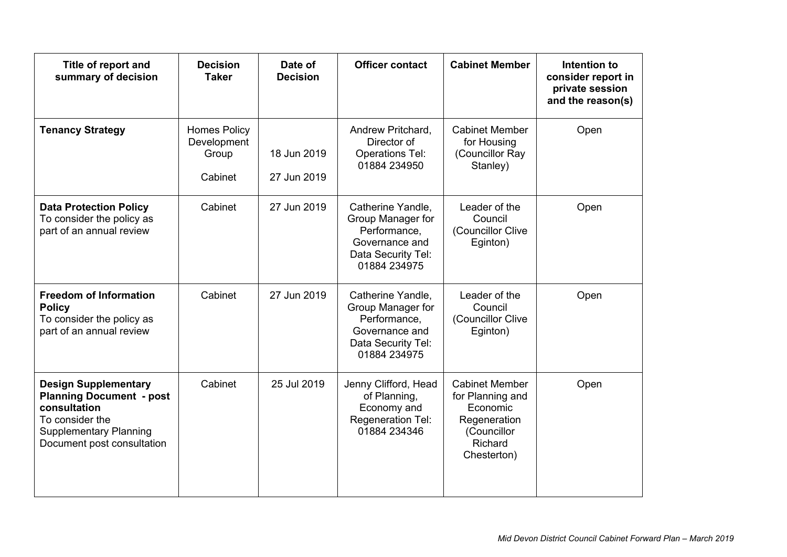| Title of report and<br>summary of decision                                                                                                                       | <b>Decision</b><br><b>Taker</b>                        | Date of<br><b>Decision</b> | <b>Officer contact</b>                                                                                         | <b>Cabinet Member</b>                                                                                          | Intention to<br>consider report in<br>private session<br>and the reason(s) |
|------------------------------------------------------------------------------------------------------------------------------------------------------------------|--------------------------------------------------------|----------------------------|----------------------------------------------------------------------------------------------------------------|----------------------------------------------------------------------------------------------------------------|----------------------------------------------------------------------------|
| <b>Tenancy Strategy</b>                                                                                                                                          | <b>Homes Policy</b><br>Development<br>Group<br>Cabinet | 18 Jun 2019<br>27 Jun 2019 | Andrew Pritchard,<br>Director of<br><b>Operations Tel:</b><br>01884 234950                                     | <b>Cabinet Member</b><br>for Housing<br>(Councillor Ray<br>Stanley)                                            | Open                                                                       |
| <b>Data Protection Policy</b><br>To consider the policy as<br>part of an annual review                                                                           | Cabinet                                                | 27 Jun 2019                | Catherine Yandle,<br>Group Manager for<br>Performance,<br>Governance and<br>Data Security Tel:<br>01884 234975 | Leader of the<br>Council<br>(Councillor Clive<br>Eginton)                                                      | Open                                                                       |
| <b>Freedom of Information</b><br><b>Policy</b><br>To consider the policy as<br>part of an annual review                                                          | Cabinet                                                | 27 Jun 2019                | Catherine Yandle,<br>Group Manager for<br>Performance,<br>Governance and<br>Data Security Tel:<br>01884 234975 | Leader of the<br>Council<br>(Councillor Clive<br>Eginton)                                                      | Open                                                                       |
| <b>Design Supplementary</b><br><b>Planning Document - post</b><br>consultation<br>To consider the<br><b>Supplementary Planning</b><br>Document post consultation | Cabinet                                                | 25 Jul 2019                | Jenny Clifford, Head<br>of Planning,<br>Economy and<br><b>Regeneration Tel:</b><br>01884 234346                | <b>Cabinet Member</b><br>for Planning and<br>Economic<br>Regeneration<br>(Councillor<br>Richard<br>Chesterton) | Open                                                                       |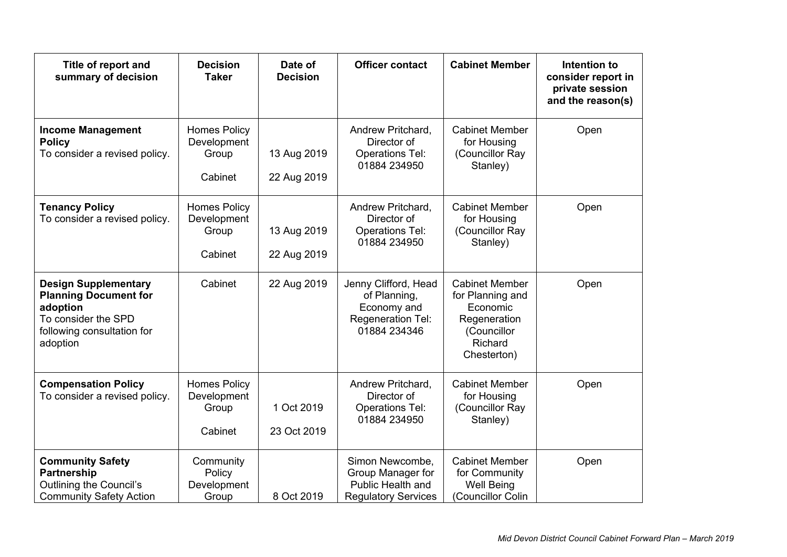| Title of report and<br>summary of decision                                                                                               | <b>Decision</b><br><b>Taker</b>                        | Date of<br><b>Decision</b> | <b>Officer contact</b>                                                                   | <b>Cabinet Member</b>                                                                                          | Intention to<br>consider report in<br>private session<br>and the reason(s) |
|------------------------------------------------------------------------------------------------------------------------------------------|--------------------------------------------------------|----------------------------|------------------------------------------------------------------------------------------|----------------------------------------------------------------------------------------------------------------|----------------------------------------------------------------------------|
| <b>Income Management</b><br><b>Policy</b><br>To consider a revised policy.                                                               | <b>Homes Policy</b><br>Development<br>Group<br>Cabinet | 13 Aug 2019<br>22 Aug 2019 | Andrew Pritchard,<br>Director of<br><b>Operations Tel:</b><br>01884 234950               | <b>Cabinet Member</b><br>for Housing<br>(Councillor Ray<br>Stanley)                                            | Open                                                                       |
| <b>Tenancy Policy</b><br>To consider a revised policy.                                                                                   | <b>Homes Policy</b><br>Development<br>Group<br>Cabinet | 13 Aug 2019<br>22 Aug 2019 | Andrew Pritchard,<br>Director of<br><b>Operations Tel:</b><br>01884 234950               | <b>Cabinet Member</b><br>for Housing<br>(Councillor Ray<br>Stanley)                                            | Open                                                                       |
| <b>Design Supplementary</b><br><b>Planning Document for</b><br>adoption<br>To consider the SPD<br>following consultation for<br>adoption | Cabinet                                                | 22 Aug 2019                | Jenny Clifford, Head<br>of Planning,<br>Economy and<br>Regeneration Tel:<br>01884 234346 | <b>Cabinet Member</b><br>for Planning and<br>Economic<br>Regeneration<br>(Councillor<br>Richard<br>Chesterton) | Open                                                                       |
| <b>Compensation Policy</b><br>To consider a revised policy.                                                                              | <b>Homes Policy</b><br>Development<br>Group<br>Cabinet | 1 Oct 2019<br>23 Oct 2019  | Andrew Pritchard,<br>Director of<br><b>Operations Tel:</b><br>01884 234950               | <b>Cabinet Member</b><br>for Housing<br>(Councillor Ray<br>Stanley)                                            | Open                                                                       |
| <b>Community Safety</b><br><b>Partnership</b><br>Outlining the Council's<br><b>Community Safety Action</b>                               | Community<br>Policy<br>Development<br>Group            | 8 Oct 2019                 | Simon Newcombe,<br>Group Manager for<br>Public Health and<br><b>Regulatory Services</b>  | <b>Cabinet Member</b><br>for Community<br><b>Well Being</b><br>(Councillor Colin                               | Open                                                                       |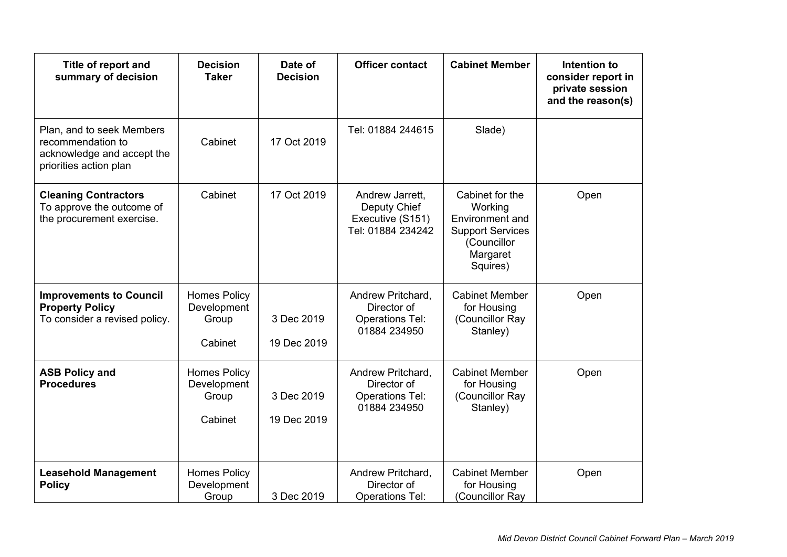| Title of report and<br>summary of decision                                                             | <b>Decision</b><br><b>Taker</b>                        | Date of<br><b>Decision</b> | <b>Officer contact</b>                                                     | <b>Cabinet Member</b>                                                                                           | Intention to<br>consider report in<br>private session<br>and the reason(s) |
|--------------------------------------------------------------------------------------------------------|--------------------------------------------------------|----------------------------|----------------------------------------------------------------------------|-----------------------------------------------------------------------------------------------------------------|----------------------------------------------------------------------------|
| Plan, and to seek Members<br>recommendation to<br>acknowledge and accept the<br>priorities action plan | Cabinet                                                | 17 Oct 2019                | Tel: 01884 244615                                                          | Slade)                                                                                                          |                                                                            |
| <b>Cleaning Contractors</b><br>To approve the outcome of<br>the procurement exercise.                  | Cabinet                                                | 17 Oct 2019                | Andrew Jarrett,<br>Deputy Chief<br>Executive (S151)<br>Tel: 01884 234242   | Cabinet for the<br>Working<br>Environment and<br><b>Support Services</b><br>(Councillor<br>Margaret<br>Squires) | Open                                                                       |
| <b>Improvements to Council</b><br><b>Property Policy</b><br>To consider a revised policy.              | <b>Homes Policy</b><br>Development<br>Group<br>Cabinet | 3 Dec 2019<br>19 Dec 2019  | Andrew Pritchard,<br>Director of<br><b>Operations Tel:</b><br>01884 234950 | <b>Cabinet Member</b><br>for Housing<br>(Councillor Ray<br>Stanley)                                             | Open                                                                       |
| <b>ASB Policy and</b><br><b>Procedures</b>                                                             | <b>Homes Policy</b><br>Development<br>Group<br>Cabinet | 3 Dec 2019<br>19 Dec 2019  | Andrew Pritchard,<br>Director of<br><b>Operations Tel:</b><br>01884 234950 | <b>Cabinet Member</b><br>for Housing<br>(Councillor Ray<br>Stanley)                                             | Open                                                                       |
| <b>Leasehold Management</b><br><b>Policy</b>                                                           | <b>Homes Policy</b><br>Development<br>Group            | 3 Dec 2019                 | Andrew Pritchard,<br>Director of<br><b>Operations Tel:</b>                 | <b>Cabinet Member</b><br>for Housing<br>(Councillor Ray                                                         | Open                                                                       |